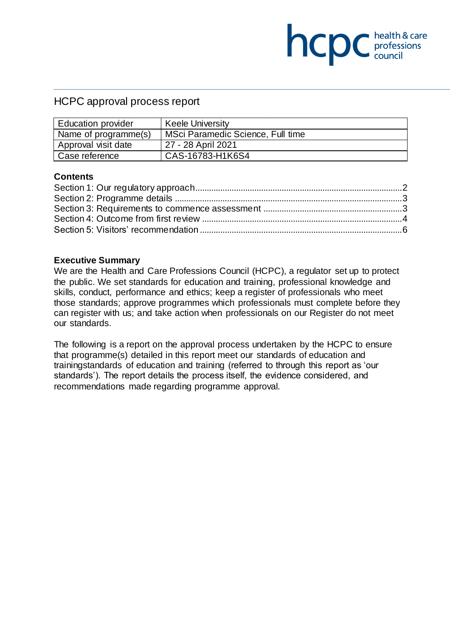# HCPC approval process report

| <b>Education provider</b> | <b>Keele University</b>           |
|---------------------------|-----------------------------------|
| Name of programme(s)      | MSci Paramedic Science, Full time |
| Approval visit date       | 27 - 28 April 2021                |
| Case reference            | CAS-16783-H1K6S4                  |

**NCDC** chealth & care

#### **Contents**

#### **Executive Summary**

We are the Health and Care Professions Council (HCPC), a regulator set up to protect the public. We set standards for education and training, professional knowledge and skills, conduct, performance and ethics; keep a register of professionals who meet those standards; approve programmes which professionals must complete before they can register with us; and take action when professionals on our Register do not meet our standards.

The following is a report on the approval process undertaken by the HCPC to ensure that programme(s) detailed in this report meet our standards of education and trainingstandards of education and training (referred to through this report as 'our standards'). The report details the process itself, the evidence considered, and recommendations made regarding programme approval.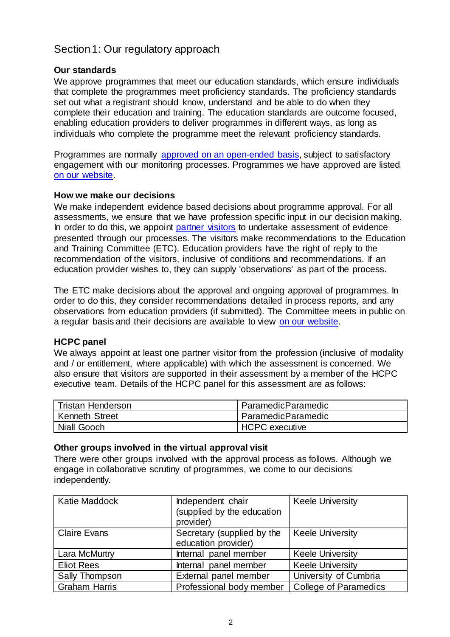# <span id="page-1-0"></span>Section 1: Our regulatory approach

### **Our standards**

We approve programmes that meet our education standards, which ensure individuals that complete the programmes meet proficiency standards. The proficiency standards set out what a registrant should know, understand and be able to do when they complete their education and training. The education standards are outcome focused, enabling education providers to deliver programmes in different ways, as long as individuals who complete the programme meet the relevant proficiency standards.

Programmes are normally [approved on an open-ended basis,](http://www.hcpc-uk.org/education/processes/) subject to satisfactory engagement with our monitoring processes. Programmes we have approved are listed [on our website.](http://www.hcpc-uk.org/education/programmes/register/)

### **How we make our decisions**

We make independent evidence based decisions about programme approval. For all assessments, we ensure that we have profession specific input in our decision making. In order to do this, we appoint [partner visitors](http://www.hcpc-uk.org/aboutus/partners/) to undertake assessment of evidence presented through our processes. The visitors make recommendations to the Education and Training Committee (ETC). Education providers have the right of reply to the recommendation of the visitors, inclusive of conditions and recommendations. If an education provider wishes to, they can supply 'observations' as part of the process.

The ETC make decisions about the approval and ongoing approval of programmes. In order to do this, they consider recommendations detailed in process reports, and any observations from education providers (if submitted). The Committee meets in public on a regular basis and their decisions are available to view [on our website.](http://www.hcpc-uk.org/aboutus/committees/educationandtrainingpanel/)

### **HCPC panel**

We always appoint at least one partner visitor from the profession (inclusive of modality and / or entitlement, where applicable) with which the assessment is concerned. We also ensure that visitors are supported in their assessment by a member of the HCPC executive team. Details of the HCPC panel for this assessment are as follows:

| <b>Tristan Henderson</b> | ParamedicParamedic    |
|--------------------------|-----------------------|
| <b>Kenneth Street</b>    | ParamedicParamedic    |
| Niall Gooch              | <b>HCPC</b> executive |

#### **Other groups involved in the virtual approval visit**

There were other groups involved with the approval process as follows. Although we engage in collaborative scrutiny of programmes, we come to our decisions independently.

| Katie Maddock        | Independent chair<br>(supplied by the education   | <b>Keele University</b>      |
|----------------------|---------------------------------------------------|------------------------------|
|                      | provider)                                         |                              |
| <b>Claire Evans</b>  | Secretary (supplied by the<br>education provider) | <b>Keele University</b>      |
| Lara McMurtry        | Internal panel member                             | <b>Keele University</b>      |
| <b>Eliot Rees</b>    | Internal panel member                             | <b>Keele University</b>      |
| Sally Thompson       | External panel member                             | University of Cumbria        |
| <b>Graham Harris</b> | Professional body member                          | <b>College of Paramedics</b> |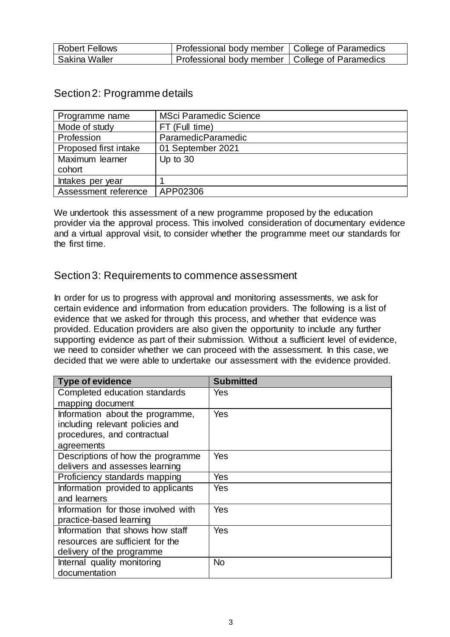| <b>Robert Fellows</b> | Professional body member   College of Paramedics |  |
|-----------------------|--------------------------------------------------|--|
| Sakina Waller         | Professional body member   College of Paramedics |  |

<span id="page-2-0"></span>

| Section 2: Programme details |
|------------------------------|
|------------------------------|

| Programme name        | <b>MSci Paramedic Science</b> |
|-----------------------|-------------------------------|
| Mode of study         | FT (Full time)                |
| Profession            | <b>ParamedicParamedic</b>     |
| Proposed first intake | 01 September 2021             |
| Maximum learner       | Up to 30                      |
| cohort                |                               |
| Intakes per year      |                               |
| Assessment reference  | APP02306                      |

We undertook this assessment of a new programme proposed by the education provider via the approval process. This involved consideration of documentary evidence and a virtual approval visit, to consider whether the programme meet our standards for the first time.

## <span id="page-2-1"></span>Section 3: Requirements to commence assessment

In order for us to progress with approval and monitoring assessments, we ask for certain evidence and information from education providers. The following is a list of evidence that we asked for through this process, and whether that evidence was provided. Education providers are also given the opportunity to include any further supporting evidence as part of their submission. Without a sufficient level of evidence, we need to consider whether we can proceed with the assessment. In this case, we decided that we were able to undertake our assessment with the evidence provided.

| <b>Type of evidence</b>             | <b>Submitted</b> |
|-------------------------------------|------------------|
| Completed education standards       | Yes              |
| mapping document                    |                  |
| Information about the programme,    | Yes              |
| including relevant policies and     |                  |
| procedures, and contractual         |                  |
| agreements                          |                  |
| Descriptions of how the programme   | Yes              |
| delivers and assesses learning      |                  |
| Proficiency standards mapping       | Yes              |
| Information provided to applicants  | Yes              |
| and learners                        |                  |
| Information for those involved with | Yes              |
| practice-based learning             |                  |
| Information that shows how staff    | Yes              |
| resources are sufficient for the    |                  |
| delivery of the programme           |                  |
| Internal quality monitoring         | <b>No</b>        |
| documentation                       |                  |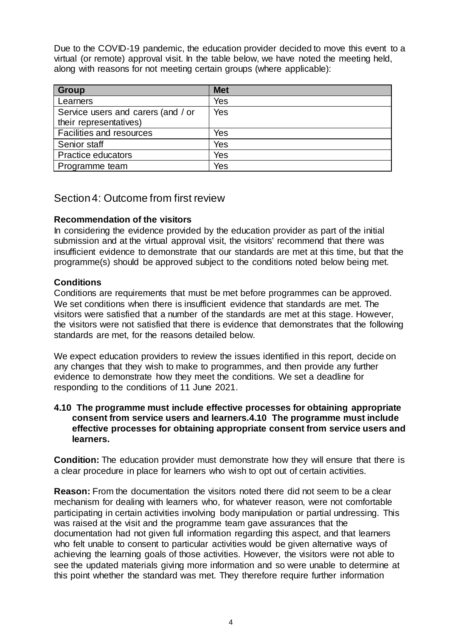Due to the COVID-19 pandemic, the education provider decided to move this event to a virtual (or remote) approval visit. In the table below, we have noted the meeting held, along with reasons for not meeting certain groups (where applicable):

| <b>Group</b>                       | <b>Met</b> |
|------------------------------------|------------|
| Learners                           | Yes        |
| Service users and carers (and / or | Yes        |
| their representatives)             |            |
| Facilities and resources           | Yes        |
| Senior staff                       | Yes        |
| Practice educators                 | Yes        |
| Programme team                     | Yes        |

## <span id="page-3-0"></span>Section 4: Outcome from first review

### **Recommendation of the visitors**

In considering the evidence provided by the education provider as part of the initial submission and at the virtual approval visit, the visitors' recommend that there was insufficient evidence to demonstrate that our standards are met at this time, but that the programme(s) should be approved subject to the conditions noted below being met.

### **Conditions**

Conditions are requirements that must be met before programmes can be approved. We set conditions when there is insufficient evidence that standards are met. The visitors were satisfied that a number of the standards are met at this stage. However, the visitors were not satisfied that there is evidence that demonstrates that the following standards are met, for the reasons detailed below.

We expect education providers to review the issues identified in this report, decide on any changes that they wish to make to programmes, and then provide any further evidence to demonstrate how they meet the conditions. We set a deadline for responding to the conditions of 11 June 2021.

#### **4.10 The programme must include effective processes for obtaining appropriate consent from service users and learners.4.10 The programme must include effective processes for obtaining appropriate consent from service users and learners.**

**Condition:** The education provider must demonstrate how they will ensure that there is a clear procedure in place for learners who wish to opt out of certain activities.

**Reason:** From the documentation the visitors noted there did not seem to be a clear mechanism for dealing with learners who, for whatever reason, were not comfortable participating in certain activities involving body manipulation or partial undressing. This was raised at the visit and the programme team gave assurances that the documentation had not given full information regarding this aspect, and that learners who felt unable to consent to particular activities would be given alternative ways of achieving the learning goals of those activities. However, the visitors were not able to see the updated materials giving more information and so were unable to determine at this point whether the standard was met. They therefore require further information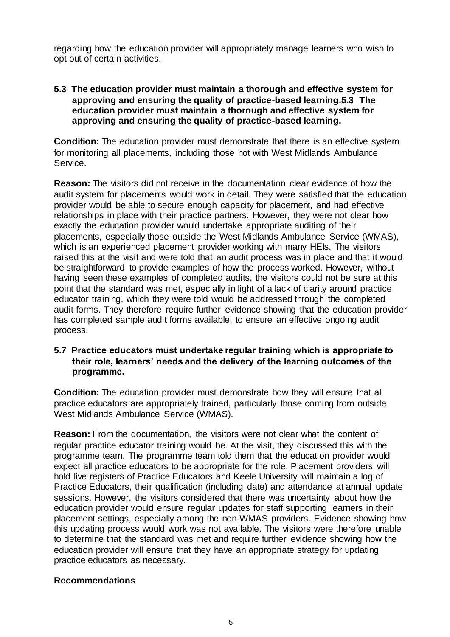regarding how the education provider will appropriately manage learners who wish to opt out of certain activities.

#### **5.3 The education provider must maintain a thorough and effective system for approving and ensuring the quality of practice-based learning.5.3 The education provider must maintain a thorough and effective system for approving and ensuring the quality of practice-based learning.**

**Condition:** The education provider must demonstrate that there is an effective system for monitoring all placements, including those not with West Midlands Ambulance Service.

**Reason:** The visitors did not receive in the documentation clear evidence of how the audit system for placements would work in detail. They were satisfied that the education provider would be able to secure enough capacity for placement, and had effective relationships in place with their practice partners. However, they were not clear how exactly the education provider would undertake appropriate auditing of their placements, especially those outside the West Midlands Ambulance Service (WMAS), which is an experienced placement provider working with many HEIs. The visitors raised this at the visit and were told that an audit process was in place and that it would be straightforward to provide examples of how the process worked. However, without having seen these examples of completed audits, the visitors could not be sure at this point that the standard was met, especially in light of a lack of clarity around practice educator training, which they were told would be addressed through the completed audit forms. They therefore require further evidence showing that the education provider has completed sample audit forms available, to ensure an effective ongoing audit process.

### **5.7 Practice educators must undertake regular training which is appropriate to their role, learners' needs and the delivery of the learning outcomes of the programme.**

**Condition:** The education provider must demonstrate how they will ensure that all practice educators are appropriately trained, particularly those coming from outside West Midlands Ambulance Service (WMAS).

**Reason:** From the documentation, the visitors were not clear what the content of regular practice educator training would be. At the visit, they discussed this with the programme team. The programme team told them that the education provider would expect all practice educators to be appropriate for the role. Placement providers will hold live registers of Practice Educators and Keele University will maintain a log of Practice Educators, their qualification (including date) and attendance at annual update sessions. However, the visitors considered that there was uncertainty about how the education provider would ensure regular updates for staff supporting learners in their placement settings, especially among the non-WMAS providers. Evidence showing how this updating process would work was not available. The visitors were therefore unable to determine that the standard was met and require further evidence showing how the education provider will ensure that they have an appropriate strategy for updating practice educators as necessary.

### **Recommendations**